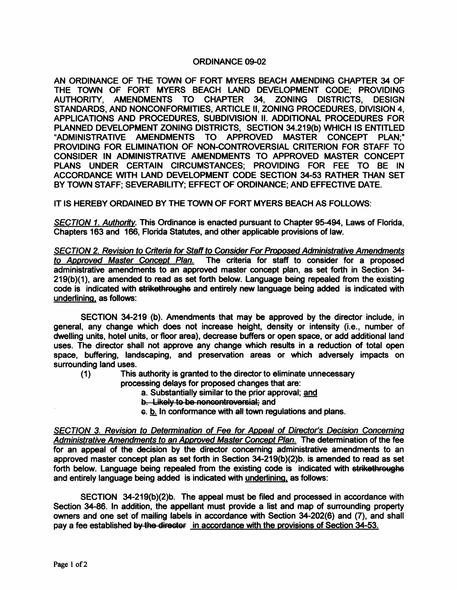## ORDINANCE 09-02

AN ORDINANCE OF THE TOWN OF FORT MYERS BEACH AMENDING CHAPTER 34 OF THE TOWN OF FORT MYERS BEACH LAND DEVELOPMENT CODE; PROVIDING AUTHORITY, AMENDMENTS TO CHAPTER 34, ZONING DISTRICTS, DESIGN STANDARDS, AND NONCONFORMITIES, ARTICLE II, ZONING PROCEDURES, DIVISION 4, APPLICATIONS AND PROCEDURES, SUBDIVISION II. ADDITIONAL PROCEDURES FOR PLANNED DEVELOPMENT ZONING DISTRICTS, SECTION 34.219(b) WHICH IS ENTITLED "ADMINISTRATIVE AMENDMENTS TO APPROVED MASTER CONCEPT PLAN;" PROVIDING FOR ELIMINATION OF NON-CONTROVERSIAL CRITERION FOR STAFF TO CONSIDER IN ADMINISTRATIVE AMENDMENTS TO APPROVED MASTER CONCEPT PLANS UNDER CERTAIN CIRCUMSTANCES; PROVIDING FOR FEE TO BE IN ACCORDANCE WITH LAND DEVELOPMENT CODE SECTION 34-53 RATHER THAN SET BY TOWN STAFF; SEVERABILITY; EFFECT OF ORDINANCE; AND EFFECTIVE DATE.

IT IS HEREBY ORDAINED BY THE TOWN OF FORT MYERS BEACH AS FOLLOWS:

SECTION 1. Authority. This Ordinance is enacted pursuant to Chapter 95-494, Laws of Florida, Chapters 163 and 166, Florida Statutes, and other applicable provisions of law.

SECTION 2. Revision to Criteria for Staff to Consider For Proposed Administrative Amendments to Approved Master Concept Plan. The criteria for staff to consider for a proposed administrative amendments to an approved' master concept plan, as set forth in Section 34- 219(b)(1), are amended to read as set forth below. Language being repealed from the existing code is indicated with strikethroughs and entirely new language being added is indicated with underlining, as follows:

SECTION 34-219 (b). Amendments that may be approved by the director include, in general, any change which does not increase height, density or intensity (i.e., number of dwelling units, hotel units, or floor area), decrease buffers or open space, or add additional land uses. The director shall not approve any change which results in a reduction of total open space, buffering, landscaping, and preservation areas or which adversely impacts on surrounding land uses.

(1) This authority is granted to the director to eliminate unnecessary

processing delays for proposed changes that are:

- a. Substantially similar to the prior approval; and
- b. Likely to be noncontroversial; and
- G. b. In conformance with all town regulations and plans.

SECTION 3. Revision to Determination of Fee for Appeal of Director's Decision Concerning Administrative Amendments to an Approved Master Concept Plan. The determination of the fee for an appeal of the decision by the director conceming administrative amendments to an approved master concept plan as set forth in Section 34-219(b)(2)b. is amended to read as set forth below. Language being repealed from the existing code is indicated with strikethroughs and entirely language being added is indicated with underlining. as follows:

SECTION 34-219(b)(2)b. The appeal must be filed and processed in accordance with Section 34-86. In addition, the appellant must provide a list and map of surrounding property owners and one set of mailing labels in accordance with Section 34-202(6) and (7), and shall pay a fee established by the directer in accordance with the provisions of Section 34-53.